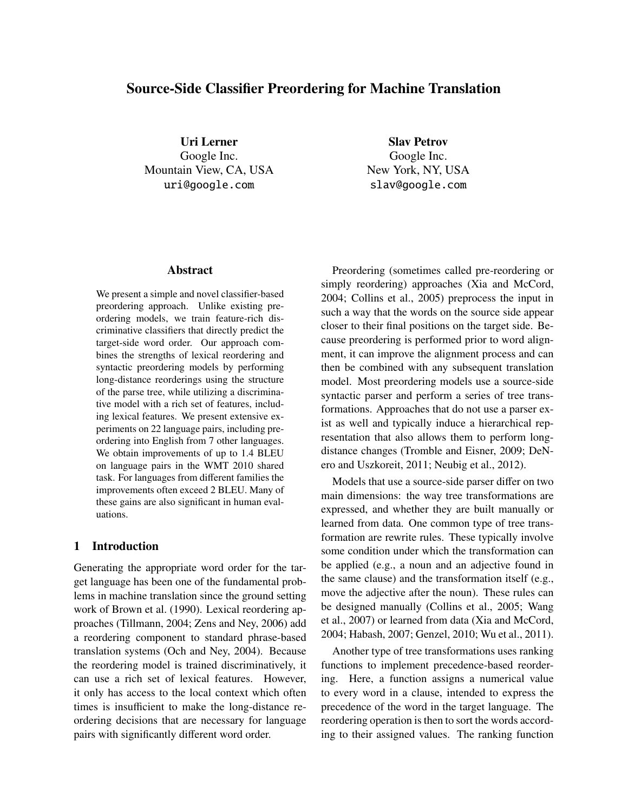# Source-Side Classifier Preordering for Machine Translation

Uri Lerner Google Inc. Mountain View, CA, USA uri@google.com

Slav Petrov Google Inc. New York, NY, USA slav@google.com

### Abstract

We present a simple and novel classifier-based preordering approach. Unlike existing preordering models, we train feature-rich discriminative classifiers that directly predict the target-side word order. Our approach combines the strengths of lexical reordering and syntactic preordering models by performing long-distance reorderings using the structure of the parse tree, while utilizing a discriminative model with a rich set of features, including lexical features. We present extensive experiments on 22 language pairs, including preordering into English from 7 other languages. We obtain improvements of up to 1.4 BLEU on language pairs in the WMT 2010 shared task. For languages from different families the improvements often exceed 2 BLEU. Many of these gains are also significant in human evaluations.

# 1 Introduction

Generating the appropriate word order for the target language has been one of the fundamental problems in machine translation since the ground setting work of Brown et al. (1990). Lexical reordering approaches (Tillmann, 2004; Zens and Ney, 2006) add a reordering component to standard phrase-based translation systems (Och and Ney, 2004). Because the reordering model is trained discriminatively, it can use a rich set of lexical features. However, it only has access to the local context which often times is insufficient to make the long-distance reordering decisions that are necessary for language pairs with significantly different word order.

Preordering (sometimes called pre-reordering or simply reordering) approaches (Xia and McCord, 2004; Collins et al., 2005) preprocess the input in such a way that the words on the source side appear closer to their final positions on the target side. Because preordering is performed prior to word alignment, it can improve the alignment process and can then be combined with any subsequent translation model. Most preordering models use a source-side syntactic parser and perform a series of tree transformations. Approaches that do not use a parser exist as well and typically induce a hierarchical representation that also allows them to perform longdistance changes (Tromble and Eisner, 2009; DeNero and Uszkoreit, 2011; Neubig et al., 2012).

Models that use a source-side parser differ on two main dimensions: the way tree transformations are expressed, and whether they are built manually or learned from data. One common type of tree transformation are rewrite rules. These typically involve some condition under which the transformation can be applied (e.g., a noun and an adjective found in the same clause) and the transformation itself (e.g., move the adjective after the noun). These rules can be designed manually (Collins et al., 2005; Wang et al., 2007) or learned from data (Xia and McCord, 2004; Habash, 2007; Genzel, 2010; Wu et al., 2011).

Another type of tree transformations uses ranking functions to implement precedence-based reordering. Here, a function assigns a numerical value to every word in a clause, intended to express the precedence of the word in the target language. The reordering operation is then to sort the words according to their assigned values. The ranking function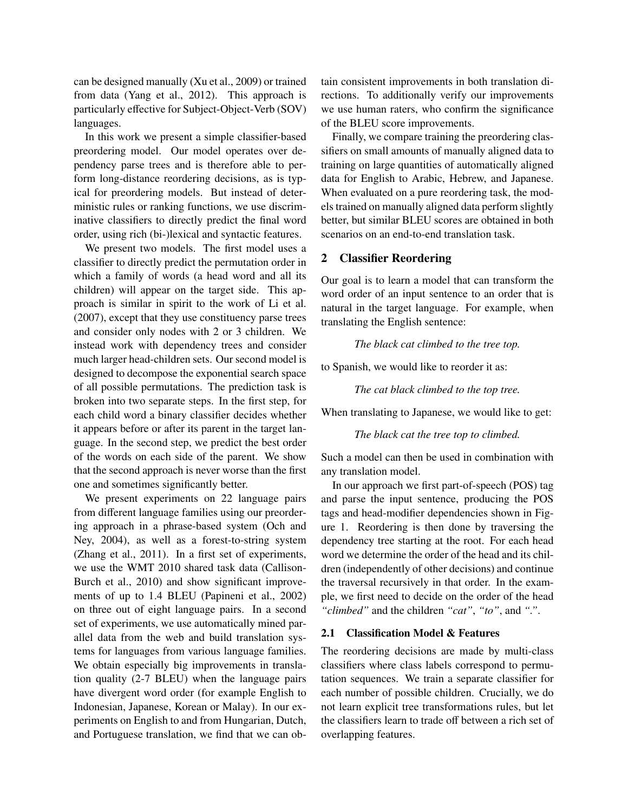can be designed manually (Xu et al., 2009) or trained from data (Yang et al., 2012). This approach is particularly effective for Subject-Object-Verb (SOV) languages.

In this work we present a simple classifier-based preordering model. Our model operates over dependency parse trees and is therefore able to perform long-distance reordering decisions, as is typical for preordering models. But instead of deterministic rules or ranking functions, we use discriminative classifiers to directly predict the final word order, using rich (bi-)lexical and syntactic features.

We present two models. The first model uses a classifier to directly predict the permutation order in which a family of words (a head word and all its children) will appear on the target side. This approach is similar in spirit to the work of Li et al. (2007), except that they use constituency parse trees and consider only nodes with 2 or 3 children. We instead work with dependency trees and consider much larger head-children sets. Our second model is designed to decompose the exponential search space of all possible permutations. The prediction task is broken into two separate steps. In the first step, for each child word a binary classifier decides whether it appears before or after its parent in the target language. In the second step, we predict the best order of the words on each side of the parent. We show that the second approach is never worse than the first one and sometimes significantly better.

We present experiments on 22 language pairs from different language families using our preordering approach in a phrase-based system (Och and Ney, 2004), as well as a forest-to-string system (Zhang et al., 2011). In a first set of experiments, we use the WMT 2010 shared task data (Callison-Burch et al., 2010) and show significant improvements of up to 1.4 BLEU (Papineni et al., 2002) on three out of eight language pairs. In a second set of experiments, we use automatically mined parallel data from the web and build translation systems for languages from various language families. We obtain especially big improvements in translation quality (2-7 BLEU) when the language pairs have divergent word order (for example English to Indonesian, Japanese, Korean or Malay). In our experiments on English to and from Hungarian, Dutch, and Portuguese translation, we find that we can obtain consistent improvements in both translation directions. To additionally verify our improvements we use human raters, who confirm the significance of the BLEU score improvements.

Finally, we compare training the preordering classifiers on small amounts of manually aligned data to training on large quantities of automatically aligned data for English to Arabic, Hebrew, and Japanese. When evaluated on a pure reordering task, the models trained on manually aligned data perform slightly better, but similar BLEU scores are obtained in both scenarios on an end-to-end translation task.

### 2 Classifier Reordering

Our goal is to learn a model that can transform the word order of an input sentence to an order that is natural in the target language. For example, when translating the English sentence:

*The black cat climbed to the tree top.*

to Spanish, we would like to reorder it as:

*The cat black climbed to the top tree.*

When translating to Japanese, we would like to get:

*The black cat the tree top to climbed.*

Such a model can then be used in combination with any translation model.

In our approach we first part-of-speech (POS) tag and parse the input sentence, producing the POS tags and head-modifier dependencies shown in Figure 1. Reordering is then done by traversing the dependency tree starting at the root. For each head word we determine the order of the head and its children (independently of other decisions) and continue the traversal recursively in that order. In the example, we first need to decide on the order of the head *"climbed"* and the children *"cat"*, *"to"*, and *"."*.

#### 2.1 Classification Model & Features

The reordering decisions are made by multi-class classifiers where class labels correspond to permutation sequences. We train a separate classifier for each number of possible children. Crucially, we do not learn explicit tree transformations rules, but let the classifiers learn to trade off between a rich set of overlapping features.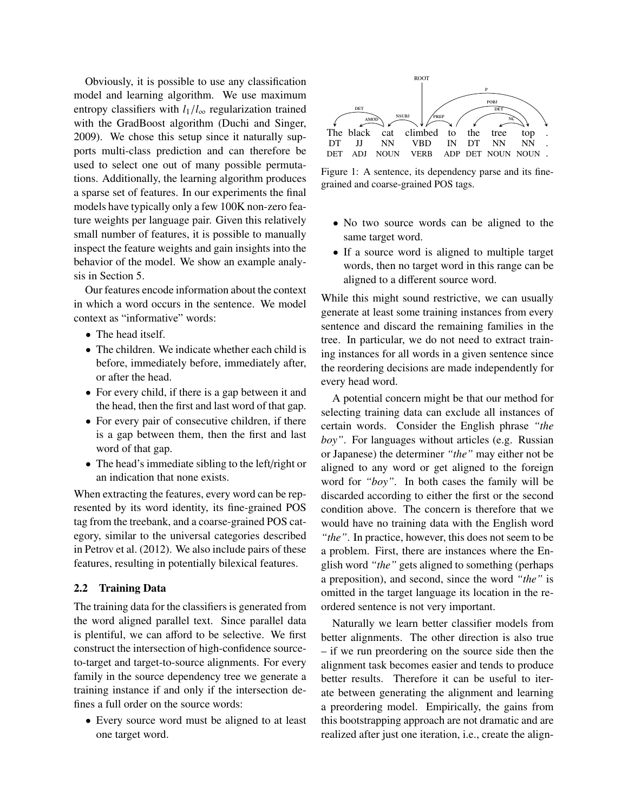Obviously, it is possible to use any classification model and learning algorithm. We use maximum entropy classifiers with  $l_1/l_{\infty}$  regularization trained with the GradBoost algorithm (Duchi and Singer, 2009). We chose this setup since it naturally supports multi-class prediction and can therefore be used to select one out of many possible permutations. Additionally, the learning algorithm produces a sparse set of features. In our experiments the final models have typically only a few 100K non-zero feature weights per language pair. Given this relatively small number of features, it is possible to manually inspect the feature weights and gain insights into the behavior of the model. We show an example analysis in Section 5.

Our features encode information about the context in which a word occurs in the sentence. We model context as "informative" words:

- The head itself.
- The children. We indicate whether each child is before, immediately before, immediately after, or after the head.
- For every child, if there is a gap between it and the head, then the first and last word of that gap.
- For every pair of consecutive children, if there is a gap between them, then the first and last word of that gap.
- The head's immediate sibling to the left/right or an indication that none exists.

When extracting the features, every word can be represented by its word identity, its fine-grained POS tag from the treebank, and a coarse-grained POS category, similar to the universal categories described in Petrov et al. (2012). We also include pairs of these features, resulting in potentially bilexical features.

# 2.2 Training Data

The training data for the classifiers is generated from the word aligned parallel text. Since parallel data is plentiful, we can afford to be selective. We first construct the intersection of high-confidence sourceto-target and target-to-source alignments. For every family in the source dependency tree we generate a training instance if and only if the intersection defines a full order on the source words:

• Every source word must be aligned to at least one target word.



Figure 1: A sentence, its dependency parse and its finegrained and coarse-grained POS tags.

- No two source words can be aligned to the same target word.
- If a source word is aligned to multiple target words, then no target word in this range can be aligned to a different source word.

While this might sound restrictive, we can usually generate at least some training instances from every sentence and discard the remaining families in the tree. In particular, we do not need to extract training instances for all words in a given sentence since the reordering decisions are made independently for every head word.

A potential concern might be that our method for selecting training data can exclude all instances of certain words. Consider the English phrase *"the boy"*. For languages without articles (e.g. Russian or Japanese) the determiner *"the"* may either not be aligned to any word or get aligned to the foreign word for *"boy"*. In both cases the family will be discarded according to either the first or the second condition above. The concern is therefore that we would have no training data with the English word *"the"*. In practice, however, this does not seem to be a problem. First, there are instances where the English word *"the"* gets aligned to something (perhaps a preposition), and second, since the word *"the"* is omitted in the target language its location in the reordered sentence is not very important.

Naturally we learn better classifier models from better alignments. The other direction is also true – if we run preordering on the source side then the alignment task becomes easier and tends to produce better results. Therefore it can be useful to iterate between generating the alignment and learning a preordering model. Empirically, the gains from this bootstrapping approach are not dramatic and are realized after just one iteration, i.e., create the align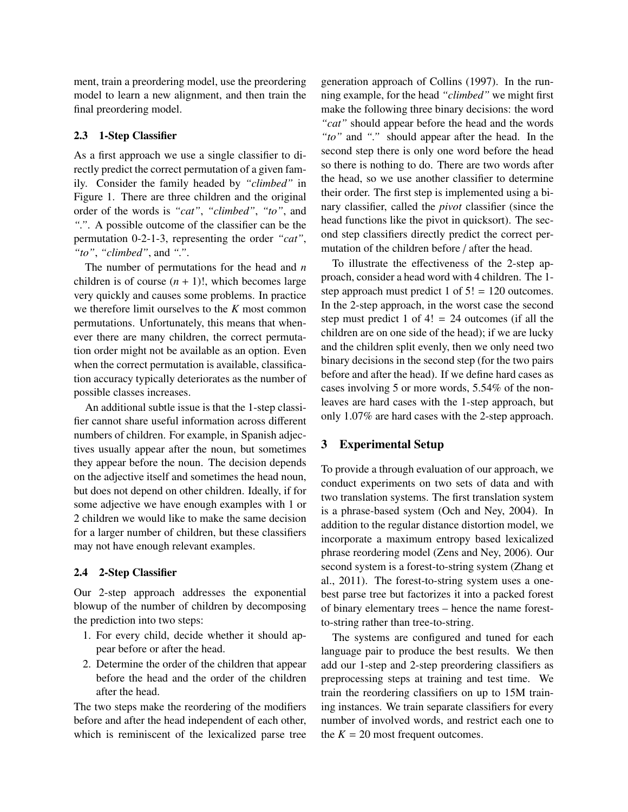ment, train a preordering model, use the preordering model to learn a new alignment, and then train the final preordering model.

### 2.3 1-Step Classifier

As a first approach we use a single classifier to directly predict the correct permutation of a given family. Consider the family headed by *"climbed"* in Figure 1. There are three children and the original order of the words is *"cat"*, *"climbed"*, *"to"*, and *"."*. A possible outcome of the classifier can be the permutation 0-2-1-3, representing the order *"cat"*, *"to"*, *"climbed"*, and *"."*.

The number of permutations for the head and *n* children is of course  $(n + 1)!$ , which becomes large very quickly and causes some problems. In practice we therefore limit ourselves to the *K* most common permutations. Unfortunately, this means that whenever there are many children, the correct permutation order might not be available as an option. Even when the correct permutation is available, classification accuracy typically deteriorates as the number of possible classes increases.

An additional subtle issue is that the 1-step classifier cannot share useful information across different numbers of children. For example, in Spanish adjectives usually appear after the noun, but sometimes they appear before the noun. The decision depends on the adjective itself and sometimes the head noun, but does not depend on other children. Ideally, if for some adjective we have enough examples with 1 or 2 children we would like to make the same decision for a larger number of children, but these classifiers may not have enough relevant examples.

### 2.4 2-Step Classifier

Our 2-step approach addresses the exponential blowup of the number of children by decomposing the prediction into two steps:

- 1. For every child, decide whether it should appear before or after the head.
- 2. Determine the order of the children that appear before the head and the order of the children after the head.

The two steps make the reordering of the modifiers before and after the head independent of each other, which is reminiscent of the lexicalized parse tree generation approach of Collins (1997). In the running example, for the head *"climbed"* we might first make the following three binary decisions: the word *"cat"* should appear before the head and the words *"to"* and *"."* should appear after the head. In the second step there is only one word before the head so there is nothing to do. There are two words after the head, so we use another classifier to determine their order. The first step is implemented using a binary classifier, called the *pivot* classifier (since the head functions like the pivot in quicksort). The second step classifiers directly predict the correct permutation of the children before / after the head.

To illustrate the effectiveness of the 2-step approach, consider a head word with 4 children. The 1 step approach must predict 1 of 5! = 120 outcomes. In the 2-step approach, in the worst case the second step must predict 1 of  $4! = 24$  outcomes (if all the children are on one side of the head); if we are lucky and the children split evenly, then we only need two binary decisions in the second step (for the two pairs before and after the head). If we define hard cases as cases involving 5 or more words, 5.54% of the nonleaves are hard cases with the 1-step approach, but only 1.07% are hard cases with the 2-step approach.

# 3 Experimental Setup

To provide a through evaluation of our approach, we conduct experiments on two sets of data and with two translation systems. The first translation system is a phrase-based system (Och and Ney, 2004). In addition to the regular distance distortion model, we incorporate a maximum entropy based lexicalized phrase reordering model (Zens and Ney, 2006). Our second system is a forest-to-string system (Zhang et al., 2011). The forest-to-string system uses a onebest parse tree but factorizes it into a packed forest of binary elementary trees – hence the name forestto-string rather than tree-to-string.

The systems are configured and tuned for each language pair to produce the best results. We then add our 1-step and 2-step preordering classifiers as preprocessing steps at training and test time. We train the reordering classifiers on up to 15M training instances. We train separate classifiers for every number of involved words, and restrict each one to the  $K = 20$  most frequent outcomes.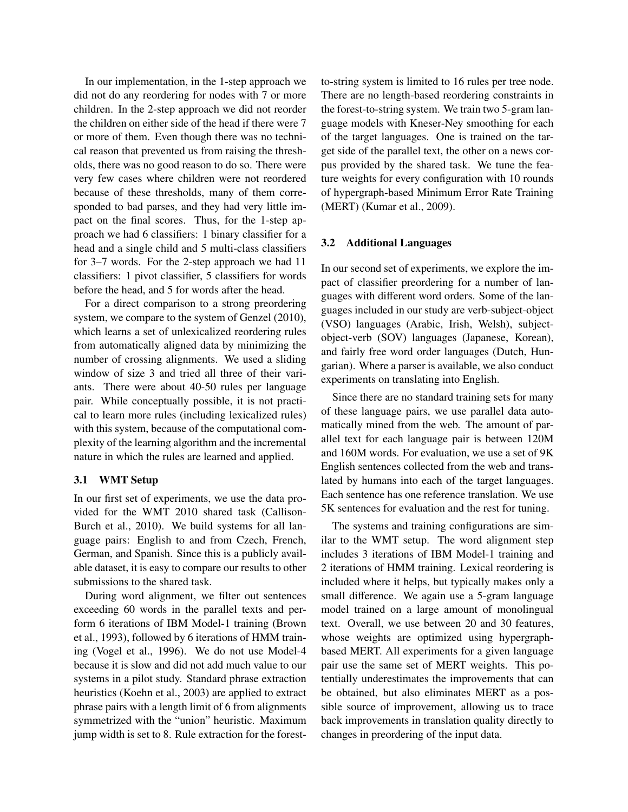In our implementation, in the 1-step approach we did not do any reordering for nodes with 7 or more children. In the 2-step approach we did not reorder the children on either side of the head if there were 7 or more of them. Even though there was no technical reason that prevented us from raising the thresholds, there was no good reason to do so. There were very few cases where children were not reordered because of these thresholds, many of them corresponded to bad parses, and they had very little impact on the final scores. Thus, for the 1-step approach we had 6 classifiers: 1 binary classifier for a head and a single child and 5 multi-class classifiers for 3–7 words. For the 2-step approach we had 11 classifiers: 1 pivot classifier, 5 classifiers for words before the head, and 5 for words after the head.

For a direct comparison to a strong preordering system, we compare to the system of Genzel (2010), which learns a set of unlexicalized reordering rules from automatically aligned data by minimizing the number of crossing alignments. We used a sliding window of size 3 and tried all three of their variants. There were about 40-50 rules per language pair. While conceptually possible, it is not practical to learn more rules (including lexicalized rules) with this system, because of the computational complexity of the learning algorithm and the incremental nature in which the rules are learned and applied.

# 3.1 WMT Setup

In our first set of experiments, we use the data provided for the WMT 2010 shared task (Callison-Burch et al., 2010). We build systems for all language pairs: English to and from Czech, French, German, and Spanish. Since this is a publicly available dataset, it is easy to compare our results to other submissions to the shared task.

During word alignment, we filter out sentences exceeding 60 words in the parallel texts and perform 6 iterations of IBM Model-1 training (Brown et al., 1993), followed by 6 iterations of HMM training (Vogel et al., 1996). We do not use Model-4 because it is slow and did not add much value to our systems in a pilot study. Standard phrase extraction heuristics (Koehn et al., 2003) are applied to extract phrase pairs with a length limit of 6 from alignments symmetrized with the "union" heuristic. Maximum jump width is set to 8. Rule extraction for the forestto-string system is limited to 16 rules per tree node. There are no length-based reordering constraints in the forest-to-string system. We train two 5-gram language models with Kneser-Ney smoothing for each of the target languages. One is trained on the target side of the parallel text, the other on a news corpus provided by the shared task. We tune the feature weights for every configuration with 10 rounds of hypergraph-based Minimum Error Rate Training (MERT) (Kumar et al., 2009).

### 3.2 Additional Languages

In our second set of experiments, we explore the impact of classifier preordering for a number of languages with different word orders. Some of the languages included in our study are verb-subject-object (VSO) languages (Arabic, Irish, Welsh), subjectobject-verb (SOV) languages (Japanese, Korean), and fairly free word order languages (Dutch, Hungarian). Where a parser is available, we also conduct experiments on translating into English.

Since there are no standard training sets for many of these language pairs, we use parallel data automatically mined from the web. The amount of parallel text for each language pair is between 120M and 160M words. For evaluation, we use a set of 9K English sentences collected from the web and translated by humans into each of the target languages. Each sentence has one reference translation. We use 5K sentences for evaluation and the rest for tuning.

The systems and training configurations are similar to the WMT setup. The word alignment step includes 3 iterations of IBM Model-1 training and 2 iterations of HMM training. Lexical reordering is included where it helps, but typically makes only a small difference. We again use a 5-gram language model trained on a large amount of monolingual text. Overall, we use between 20 and 30 features, whose weights are optimized using hypergraphbased MERT. All experiments for a given language pair use the same set of MERT weights. This potentially underestimates the improvements that can be obtained, but also eliminates MERT as a possible source of improvement, allowing us to trace back improvements in translation quality directly to changes in preordering of the input data.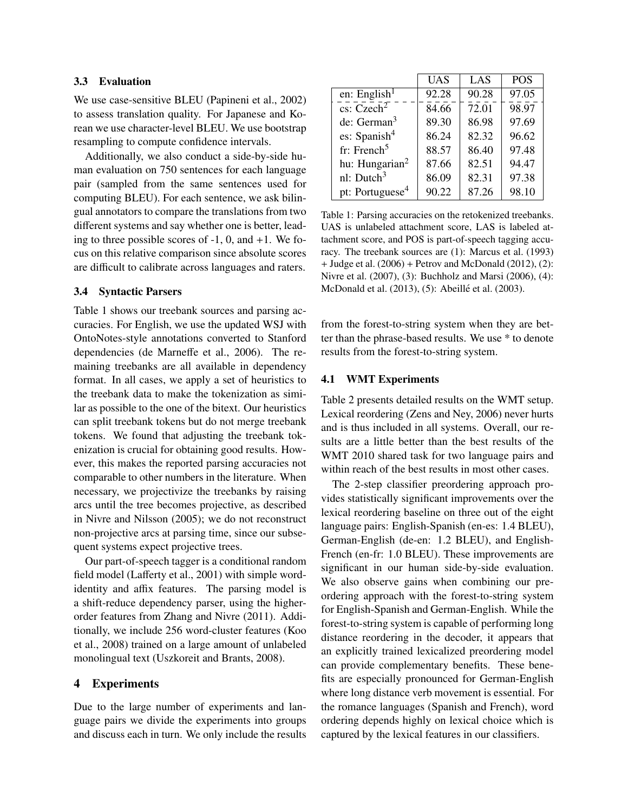### 3.3 Evaluation

We use case-sensitive BLEU (Papineni et al., 2002) to assess translation quality. For Japanese and Korean we use character-level BLEU. We use bootstrap resampling to compute confidence intervals.

Additionally, we also conduct a side-by-side human evaluation on 750 sentences for each language pair (sampled from the same sentences used for computing BLEU). For each sentence, we ask bilingual annotators to compare the translations from two different systems and say whether one is better, leading to three possible scores of  $-1$ , 0, and  $+1$ . We focus on this relative comparison since absolute scores are difficult to calibrate across languages and raters.

# 3.4 Syntactic Parsers

Table 1 shows our treebank sources and parsing accuracies. For English, we use the updated WSJ with OntoNotes-style annotations converted to Stanford dependencies (de Marneffe et al., 2006). The remaining treebanks are all available in dependency format. In all cases, we apply a set of heuristics to the treebank data to make the tokenization as similar as possible to the one of the bitext. Our heuristics can split treebank tokens but do not merge treebank tokens. We found that adjusting the treebank tokenization is crucial for obtaining good results. However, this makes the reported parsing accuracies not comparable to other numbers in the literature. When necessary, we projectivize the treebanks by raising arcs until the tree becomes projective, as described in Nivre and Nilsson (2005); we do not reconstruct non-projective arcs at parsing time, since our subsequent systems expect projective trees.

Our part-of-speech tagger is a conditional random field model (Lafferty et al., 2001) with simple wordidentity and affix features. The parsing model is a shift-reduce dependency parser, using the higherorder features from Zhang and Nivre (2011). Additionally, we include 256 word-cluster features (Koo et al., 2008) trained on a large amount of unlabeled monolingual text (Uszkoreit and Brants, 2008).

### 4 Experiments

Due to the large number of experiments and language pairs we divide the experiments into groups and discuss each in turn. We only include the results

|                             | UAS   | LAS   | <b>POS</b> |
|-----------------------------|-------|-------|------------|
| en: English $1$             | 92.28 | 90.28 | 97.05      |
| $\csc$ Czech <sup>2</sup>   | 84.66 | 72.01 | 98.97      |
| de: German $3$              | 89.30 | 86.98 | 97.69      |
| es: Spanish $4$             | 86.24 | 82.32 | 96.62      |
| fr: French <sup>5</sup>     | 88.57 | 86.40 | 97.48      |
| hu: Hungarian <sup>2</sup>  | 87.66 | 82.51 | 94.47      |
| nl: Dutch $3$               | 86.09 | 82.31 | 97.38      |
| pt: Portuguese <sup>4</sup> | 90.22 | 87.26 | 98.10      |

Table 1: Parsing accuracies on the retokenized treebanks. UAS is unlabeled attachment score, LAS is labeled attachment score, and POS is part-of-speech tagging accuracy. The treebank sources are (1): Marcus et al. (1993) + Judge et al. (2006) + Petrov and McDonald (2012), (2): Nivre et al. (2007), (3): Buchholz and Marsi (2006), (4): McDonald et al. (2013), (5): Abeillé et al. (2003).

from the forest-to-string system when they are better than the phrase-based results. We use \* to denote results from the forest-to-string system.

#### 4.1 WMT Experiments

Table 2 presents detailed results on the WMT setup. Lexical reordering (Zens and Ney, 2006) never hurts and is thus included in all systems. Overall, our results are a little better than the best results of the WMT 2010 shared task for two language pairs and within reach of the best results in most other cases.

The 2-step classifier preordering approach provides statistically significant improvements over the lexical reordering baseline on three out of the eight language pairs: English-Spanish (en-es: 1.4 BLEU), German-English (de-en: 1.2 BLEU), and English-French (en-fr: 1.0 BLEU). These improvements are significant in our human side-by-side evaluation. We also observe gains when combining our preordering approach with the forest-to-string system for English-Spanish and German-English. While the forest-to-string system is capable of performing long distance reordering in the decoder, it appears that an explicitly trained lexicalized preordering model can provide complementary benefits. These benefits are especially pronounced for German-English where long distance verb movement is essential. For the romance languages (Spanish and French), word ordering depends highly on lexical choice which is captured by the lexical features in our classifiers.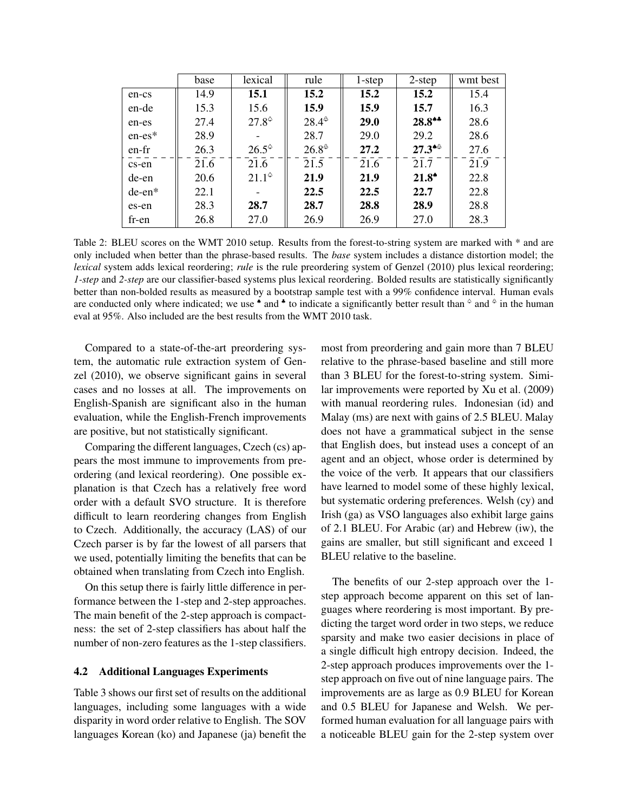|          | base | lexical      | rule           | 1-step | $2$ -step   | wmt best |
|----------|------|--------------|----------------|--------|-------------|----------|
| en-cs    | 14.9 | 15.1         | 15.2           | 15.2   | 15.2        | 15.4     |
| en-de    | 15.3 | 15.6         | 15.9           | 15.9   | 15.7        | 16.3     |
| en-es    | 27.4 | $27.8^\circ$ | $28.4^{\circ}$ | 29.0   | $28.8**$    | 28.6     |
| $en-es*$ | 28.9 |              | 28.7           | 29.0   | 29.2        | 28.6     |
| en-fr    | 26.3 | $26.5^\circ$ | $26.8^{\circ}$ | 27.2   | $27.3^{*0}$ | 27.6     |
| cs-en    | 21.6 | 21.6         | 21.5           | 21.6   | 21.7        | 21.9     |
| de-en    | 20.6 | $21.1^\circ$ | 21.9           | 21.9   | $21.8^*$    | 22.8     |
| $de-en*$ | 22.1 |              | 22.5           | 22.5   | 22.7        | 22.8     |
| es-en    | 28.3 | 28.7         | 28.7           | 28.8   | 28.9        | 28.8     |
| fr-en    | 26.8 | 27.0         | 26.9           | 26.9   | 27.0        | 28.3     |

Table 2: BLEU scores on the WMT 2010 setup. Results from the forest-to-string system are marked with \* and are only included when better than the phrase-based results. The *base* system includes a distance distortion model; the *lexical* system adds lexical reordering; *rule* is the rule preordering system of Genzel (2010) plus lexical reordering; *1-step* and *2-step* are our classifier-based systems plus lexical reordering. Bolded results are statistically significantly better than non-bolded results as measured by a bootstrap sample test with a 99% confidence interval. Human evals are conducted only where indicated; we use  $\bullet$  and  $\bullet$  to indicate a significantly better result than  $\circ$  and  $\circ$  in the human eval at 95%. Also included are the best results from the WMT 2010 task.

Compared to a state-of-the-art preordering system, the automatic rule extraction system of Genzel (2010), we observe significant gains in several cases and no losses at all. The improvements on English-Spanish are significant also in the human evaluation, while the English-French improvements are positive, but not statistically significant.

Comparing the different languages, Czech (cs) appears the most immune to improvements from preordering (and lexical reordering). One possible explanation is that Czech has a relatively free word order with a default SVO structure. It is therefore difficult to learn reordering changes from English to Czech. Additionally, the accuracy (LAS) of our Czech parser is by far the lowest of all parsers that we used, potentially limiting the benefits that can be obtained when translating from Czech into English.

On this setup there is fairly little difference in performance between the 1-step and 2-step approaches. The main benefit of the 2-step approach is compactness: the set of 2-step classifiers has about half the number of non-zero features as the 1-step classifiers.

### 4.2 Additional Languages Experiments

Table 3 shows our first set of results on the additional languages, including some languages with a wide disparity in word order relative to English. The SOV languages Korean (ko) and Japanese (ja) benefit the most from preordering and gain more than 7 BLEU relative to the phrase-based baseline and still more than 3 BLEU for the forest-to-string system. Similar improvements were reported by Xu et al. (2009) with manual reordering rules. Indonesian (id) and Malay (ms) are next with gains of 2.5 BLEU. Malay does not have a grammatical subject in the sense that English does, but instead uses a concept of an agent and an object, whose order is determined by the voice of the verb. It appears that our classifiers have learned to model some of these highly lexical, but systematic ordering preferences. Welsh (cy) and Irish (ga) as VSO languages also exhibit large gains of 2.1 BLEU. For Arabic (ar) and Hebrew (iw), the gains are smaller, but still significant and exceed 1 BLEU relative to the baseline.

The benefits of our 2-step approach over the 1 step approach become apparent on this set of languages where reordering is most important. By predicting the target word order in two steps, we reduce sparsity and make two easier decisions in place of a single difficult high entropy decision. Indeed, the 2-step approach produces improvements over the 1 step approach on five out of nine language pairs. The improvements are as large as 0.9 BLEU for Korean and 0.5 BLEU for Japanese and Welsh. We performed human evaluation for all language pairs with a noticeable BLEU gain for the 2-step system over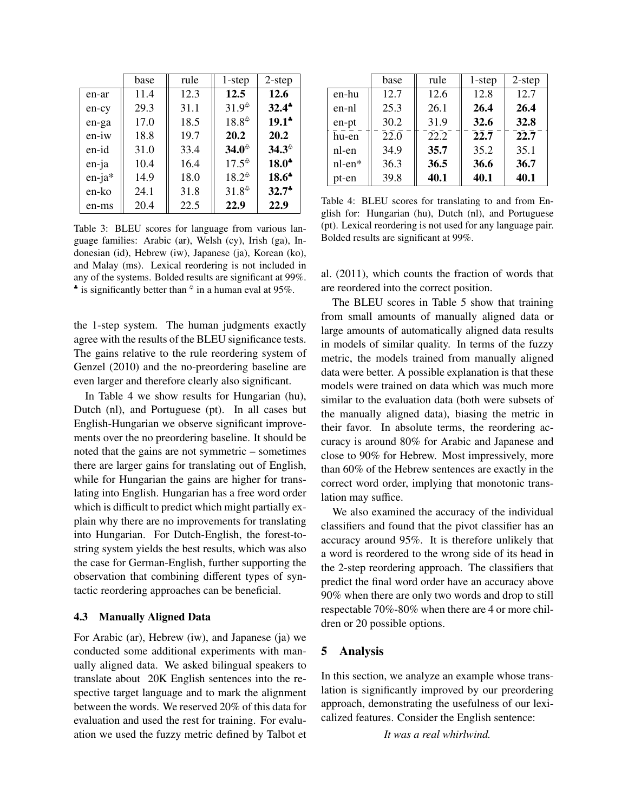|          | base | rule | 1-step         | $2$ -step      |
|----------|------|------|----------------|----------------|
| en-ar    | 11.4 | 12.3 | 12.5           | 12.6           |
| en-cy    | 29.3 | 31.1 | $31.9^{\circ}$ | $32.4^*$       |
| en-ga    | 17.0 | 18.5 | $18.8^{\circ}$ | $19.1*$        |
| $en-iw$  | 18.8 | 19.7 | 20.2           | 20.2           |
| en-id    | 31.0 | 33.4 | $34.0^{\circ}$ | $34.3^{\circ}$ |
| en-ja    | 10.4 | 16.4 | $17.5^{\circ}$ | $18.0*$        |
| $en-ja*$ | 14.9 | 18.0 | $18.2^{\circ}$ | $18.6*$        |
| en-ko    | 24.1 | 31.8 | $31.8^{\circ}$ | $32.7*$        |
| en-ms    | 20.4 | 22.5 | 22.9           | 22.9           |

Table 3: BLEU scores for language from various language families: Arabic (ar), Welsh (cy), Irish (ga), Indonesian (id), Hebrew (iw), Japanese (ja), Korean (ko), and Malay (ms). Lexical reordering is not included in any of the systems. Bolded results are significant at 99%.  $\bullet$  is significantly better than  $\circ$  in a human eval at 95%.

the 1-step system. The human judgments exactly agree with the results of the BLEU significance tests. The gains relative to the rule reordering system of Genzel (2010) and the no-preordering baseline are even larger and therefore clearly also significant.

In Table 4 we show results for Hungarian (hu), Dutch (nl), and Portuguese (pt). In all cases but English-Hungarian we observe significant improvements over the no preordering baseline. It should be noted that the gains are not symmetric – sometimes there are larger gains for translating out of English, while for Hungarian the gains are higher for translating into English. Hungarian has a free word order which is difficult to predict which might partially explain why there are no improvements for translating into Hungarian. For Dutch-English, the forest-tostring system yields the best results, which was also the case for German-English, further supporting the observation that combining different types of syntactic reordering approaches can be beneficial.

### 4.3 Manually Aligned Data

For Arabic (ar), Hebrew (iw), and Japanese (ja) we conducted some additional experiments with manually aligned data. We asked bilingual speakers to translate about 20K English sentences into the respective target language and to mark the alignment between the words. We reserved 20% of this data for evaluation and used the rest for training. For evaluation we used the fuzzy metric defined by Talbot et

|              | base | rule | $1$ -step | $2$ -step |
|--------------|------|------|-----------|-----------|
| en-hu        | 12.7 | 12.6 | 12.8      | 12.7      |
| en-nl        | 25.3 | 26.1 | 26.4      | 26.4      |
| en-pt        | 30.2 | 31.9 | 32.6      | 32.8      |
| hu-en        | 22.0 | 22.2 | 22.7      | 22.7      |
| nl-en        | 34.9 | 35.7 | 35.2      | 35.1      |
| $nl$ -en $*$ | 36.3 | 36.5 | 36.6      | 36.7      |
| pt-en        | 39.8 | 40.1 | 40.1      | 40.1      |

Table 4: BLEU scores for translating to and from English for: Hungarian (hu), Dutch (nl), and Portuguese (pt). Lexical reordering is not used for any language pair. Bolded results are significant at 99%.

al. (2011), which counts the fraction of words that are reordered into the correct position.

The BLEU scores in Table 5 show that training from small amounts of manually aligned data or large amounts of automatically aligned data results in models of similar quality. In terms of the fuzzy metric, the models trained from manually aligned data were better. A possible explanation is that these models were trained on data which was much more similar to the evaluation data (both were subsets of the manually aligned data), biasing the metric in their favor. In absolute terms, the reordering accuracy is around 80% for Arabic and Japanese and close to 90% for Hebrew. Most impressively, more than 60% of the Hebrew sentences are exactly in the correct word order, implying that monotonic translation may suffice.

We also examined the accuracy of the individual classifiers and found that the pivot classifier has an accuracy around 95%. It is therefore unlikely that a word is reordered to the wrong side of its head in the 2-step reordering approach. The classifiers that predict the final word order have an accuracy above 90% when there are only two words and drop to still respectable 70%-80% when there are 4 or more children or 20 possible options.

### 5 Analysis

In this section, we analyze an example whose translation is significantly improved by our preordering approach, demonstrating the usefulness of our lexicalized features. Consider the English sentence:

*It was a real whirlwind.*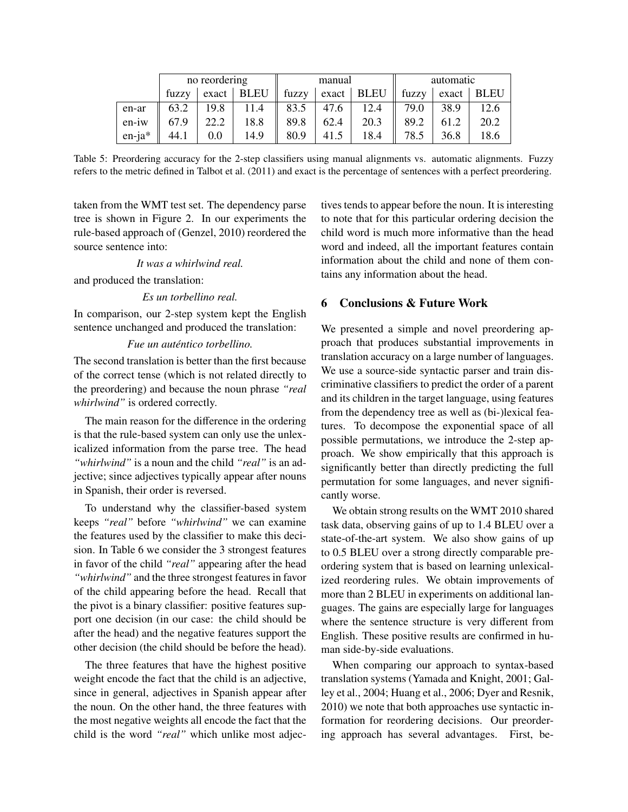|          |       | no reordering |             | manual |                |             | automatic |       |      |
|----------|-------|---------------|-------------|--------|----------------|-------------|-----------|-------|------|
|          | fuzzy | exact         | <b>BLEU</b> | fuzzy  | $\text{exact}$ | <b>BLEU</b> | fuzzy     | exact | BLEU |
| en-ar    | 63.2  | 19.8          | 11.4        | 83.5   | 47.6           | 12.4        | 79.0      | 38.9  | 12.6 |
| en-iw    | 67.9  | 22.2          | 18.8        | 89.8   | 62.4           | 20.3        | 89.2      |       | 20.2 |
| $en-ia*$ | 44.1  | 0.0           | 14.9        | 80.9   | 41.5           | 18.4        | 78.5      | 36.8  | 18.6 |

Table 5: Preordering accuracy for the 2-step classifiers using manual alignments vs. automatic alignments. Fuzzy refers to the metric defined in Talbot et al. (2011) and exact is the percentage of sentences with a perfect preordering.

taken from the WMT test set. The dependency parse tree is shown in Figure 2. In our experiments the rule-based approach of (Genzel, 2010) reordered the source sentence into:

*It was a whirlwind real.*

and produced the translation:

### *Es un torbellino real.*

In comparison, our 2-step system kept the English sentence unchanged and produced the translation:

### *Fue un auténtico torbellino.*

The second translation is better than the first because of the correct tense (which is not related directly to the preordering) and because the noun phrase *"real whirlwind"* is ordered correctly.

The main reason for the difference in the ordering is that the rule-based system can only use the unlexicalized information from the parse tree. The head *"whirlwind"* is a noun and the child *"real"* is an adjective; since adjectives typically appear after nouns in Spanish, their order is reversed.

To understand why the classifier-based system keeps *"real"* before *"whirlwind"* we can examine the features used by the classifier to make this decision. In Table 6 we consider the 3 strongest features in favor of the child *"real"* appearing after the head *"whirlwind"* and the three strongest features in favor of the child appearing before the head. Recall that the pivot is a binary classifier: positive features support one decision (in our case: the child should be after the head) and the negative features support the other decision (the child should be before the head).

The three features that have the highest positive weight encode the fact that the child is an adjective, since in general, adjectives in Spanish appear after the noun. On the other hand, the three features with the most negative weights all encode the fact that the child is the word *"real"* which unlike most adjectives tends to appear before the noun. It is interesting to note that for this particular ordering decision the child word is much more informative than the head word and indeed, all the important features contain information about the child and none of them contains any information about the head.

# 6 Conclusions & Future Work

We presented a simple and novel preordering approach that produces substantial improvements in translation accuracy on a large number of languages. We use a source-side syntactic parser and train discriminative classifiers to predict the order of a parent and its children in the target language, using features from the dependency tree as well as (bi-)lexical features. To decompose the exponential space of all possible permutations, we introduce the 2-step approach. We show empirically that this approach is significantly better than directly predicting the full permutation for some languages, and never significantly worse.

We obtain strong results on the WMT 2010 shared task data, observing gains of up to 1.4 BLEU over a state-of-the-art system. We also show gains of up to 0.5 BLEU over a strong directly comparable preordering system that is based on learning unlexicalized reordering rules. We obtain improvements of more than 2 BLEU in experiments on additional languages. The gains are especially large for languages where the sentence structure is very different from English. These positive results are confirmed in human side-by-side evaluations.

When comparing our approach to syntax-based translation systems (Yamada and Knight, 2001; Galley et al., 2004; Huang et al., 2006; Dyer and Resnik, 2010) we note that both approaches use syntactic information for reordering decisions. Our preordering approach has several advantages. First, be-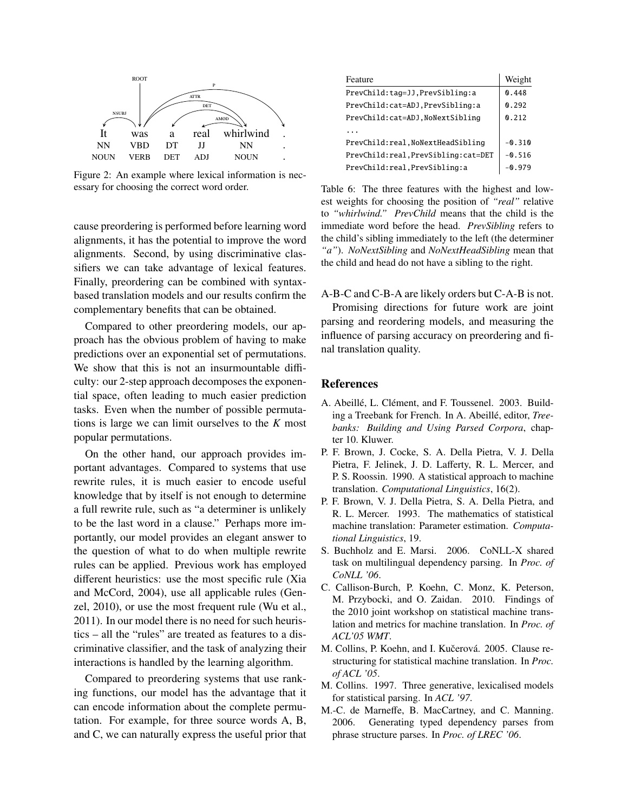

Figure 2: An example where lexical information is necessary for choosing the correct word order.

cause preordering is performed before learning word alignments, it has the potential to improve the word alignments. Second, by using discriminative classifiers we can take advantage of lexical features. Finally, preordering can be combined with syntaxbased translation models and our results confirm the complementary benefits that can be obtained.

Compared to other preordering models, our approach has the obvious problem of having to make predictions over an exponential set of permutations. We show that this is not an insurmountable difficulty: our 2-step approach decomposes the exponential space, often leading to much easier prediction tasks. Even when the number of possible permutations is large we can limit ourselves to the *K* most popular permutations.

On the other hand, our approach provides important advantages. Compared to systems that use rewrite rules, it is much easier to encode useful knowledge that by itself is not enough to determine a full rewrite rule, such as "a determiner is unlikely to be the last word in a clause." Perhaps more importantly, our model provides an elegant answer to the question of what to do when multiple rewrite rules can be applied. Previous work has employed different heuristics: use the most specific rule (Xia and McCord, 2004), use all applicable rules (Genzel, 2010), or use the most frequent rule (Wu et al., 2011). In our model there is no need for such heuristics – all the "rules" are treated as features to a discriminative classifier, and the task of analyzing their interactions is handled by the learning algorithm.

Compared to preordering systems that use ranking functions, our model has the advantage that it can encode information about the complete permutation. For example, for three source words A, B, and C, we can naturally express the useful prior that

| Feature                             | Weight   |
|-------------------------------------|----------|
| PrevChild:tag=JJ,PrevSibling:a      | 0.448    |
| PrevChild:cat=ADJ,PrevSibling:a     | 0.292    |
| PrevChild:cat=ADJ,NoNextSibling     | 0.212    |
|                                     |          |
| PrevChild:real,NoNextHeadSibling    | $-0.310$ |
| PrevChild:real, PrevSibling:cat=DET | $-0.516$ |
| PrevChild:real, PrevSibling:a       | $-0.979$ |

Table 6: The three features with the highest and lowest weights for choosing the position of *"real"* relative to *"whirlwind." PrevChild* means that the child is the immediate word before the head. *PrevSibling* refers to the child's sibling immediately to the left (the determiner *"a"*). *NoNextSibling* and *NoNextHeadSibling* mean that the child and head do not have a sibling to the right.

A-B-C and C-B-A are likely orders but C-A-B is not.

Promising directions for future work are joint parsing and reordering models, and measuring the influence of parsing accuracy on preordering and final translation quality.

#### References

- A. Abeillé, L. Clément, and F. Toussenel. 2003. Building a Treebank for French. In A. Abeillé, editor, *Treebanks: Building and Using Parsed Corpora*, chapter 10. Kluwer.
- P. F. Brown, J. Cocke, S. A. Della Pietra, V. J. Della Pietra, F. Jelinek, J. D. Lafferty, R. L. Mercer, and P. S. Roossin. 1990. A statistical approach to machine translation. *Computational Linguistics*, 16(2).
- P. F. Brown, V. J. Della Pietra, S. A. Della Pietra, and R. L. Mercer. 1993. The mathematics of statistical machine translation: Parameter estimation. *Computational Linguistics*, 19.
- S. Buchholz and E. Marsi. 2006. CoNLL-X shared task on multilingual dependency parsing. In *Proc. of CoNLL '06*.
- C. Callison-Burch, P. Koehn, C. Monz, K. Peterson, M. Przybocki, and O. Zaidan. 2010. Findings of the 2010 joint workshop on statistical machine translation and metrics for machine translation. In *Proc. of ACL'05 WMT*.
- M. Collins, P. Koehn, and I. Kučerová. 2005. Clause restructuring for statistical machine translation. In *Proc. of ACL '05*.
- M. Collins. 1997. Three generative, lexicalised models for statistical parsing. In *ACL '97*.
- M.-C. de Marneffe, B. MacCartney, and C. Manning. 2006. Generating typed dependency parses from phrase structure parses. In *Proc. of LREC '06*.